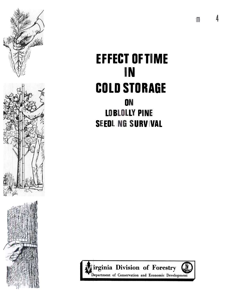

# **EFFECT OF TIME** IN **COLD STORAGE ON LOBLOLLY PINE**

**SEEDLING SURVIVAL** 

irginia Division of Forestry Department of Conservation and Economic Development  $\mathbf{m}$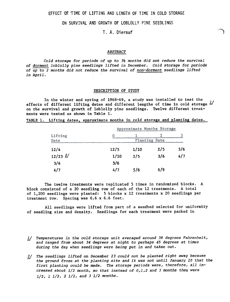EFFECT OF TIME OF LIFTING AND LENGTH OF TIME IN COLD STORAGE

## ON SURVIVAL AND GROWTH OF LOBLOLLY PINE SEEDLINGS

T. A. Dierauf <sup>1</sup>

"~\

#### ABSTRACT

Cold storage for periods of up to  $3\frac{1}{2}$  months did not reduce the survival of dormant loblolly pine seedlings lifted in December. Cold storage for periods of  $up$  to 2 months did not reduce the survival of non-dormant seedlings lifted in April.

### DESCRIPTION OF STUDY

In the winter and spring of 1968-69, a study was installed to test the effects of different lifting dates and different lengths of time in cold storage  $\frac{1}{2}$ on the survival and growth of loblolly pine seedlings. Twelve different treatments were tested as shown in Table 1.

TABLE 1. Lifting dates, approximate months in cold storage and planting dates.

|              | Approximate Months Storage |      |     |     |  |  |
|--------------|----------------------------|------|-----|-----|--|--|
| Lifting      |                            |      |     |     |  |  |
| Date         | Planting Date              |      |     |     |  |  |
| 12/4         | 12/5                       | 1/10 | 2/5 | 3/6 |  |  |
| $12/23$ $2/$ | 1/10                       | 2/5  | 3/6 | 4/7 |  |  |
| 3/6          | 3/6                        |      |     |     |  |  |
| 4/7          | 4/7                        | 5/6  | 6/9 |     |  |  |

The twelve treatments were replicated 5 times in randomized blocks. A block consisted of a 20 seedling row of each of the 12 treatments. A total of 1,200 seedlings were planted: 5 blocks x 12 treatments x 20 seedlings per treatment row. Spacing was  $6,6 \times 6.6$  feet.

All seedlings were lifted from part of a seedbed selected for uniformity of seedling size and density. Seedlings for each treatment were packed in

- 1/ Temperatures in the cold storage unit averaged around 38 degrees Fahrenhe and ranged from about 34 degrees at night to perhaps 45 degrees at times during the day when seedlings were being put in and taken out.
- $\frac{2}{ }$ The seedlings lifted on December 23 could not be planted right away because the ground froze at the planting site and it was not until January 10 that the first planting could be made. The storage periods were, therefore, all increased about  $1/2$  month, so that instead of  $0,1,2$  and 3 months they were  $1/2$ ,  $1 \ 1/2$ ,  $2 \ 1/2$ , and  $3 \ 1/2$  months.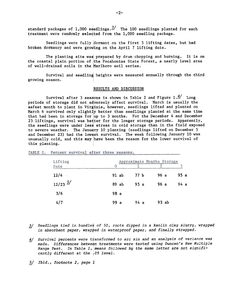standard packages of 1,000 seedlings.<sup>3/</sup> The 100 seedlings planted for each treatment were randomly selected from the 1,000 seedling package.

Seedlings were fully dormant on the first 3 lifting dates, but had broken dormancy and were growing on the April 7 lifting date.

The planting site was prepared by drum chopping and burning. It is on the coastal plain portion of the Pocahontas State Forest, a nearly level area of well-drained soils in the Marlboro soil series.

Survival and seedling heights were measured annually through the third growing season.

#### lRESULTS AND DISCUSSION

Survival after 3 seasons is shown in Table 2 and Figure  $1.\frac{4}{1}$  Long periods of storage did not adversely affect survival. March is usually the safest month to plant in Virginia, however, seedlings lifted and planted on March  $6$  survived only slightly better than seedlings planted at the same time that had been in storage for up to 3 months. For the December 4 and December 23 liftings, survival was better for the longer storage periods. Apparently, the seedlings were under less stress in cold storage than in the field exposed to severe weather. The January 10 planting (seedlings lifted on December 5 and December 23) had the lowest survival. The week following January 10 was unusually cold, and this may have been the reason for the lower survival of this planting.

| Lifting<br>Date       | ∩    |       |                 | Approximate Months Storage |      |  |
|-----------------------|------|-------|-----------------|----------------------------|------|--|
| 12/4                  |      | 91 ab | 77 <sub>b</sub> | 96a                        | 95a  |  |
| $12/23$ $\frac{5}{ }$ |      | 89 ab | 95a             | 96a                        | 94 a |  |
| 3/6                   | 98 a |       |                 |                            |      |  |
| 4/7                   | 99a  |       | 94 a            | 93 ab                      |      |  |

TABLE 2. Percent survival after three seasons.

- 3/ Seedlings tied in bundles of 50, roots dipped in a kaolin clay slurry, wrappe in absorbent paper, wrapped in waterproof paper, and finally strapped.
- 4/ Survival percents were transformed to arc sin and an analysis of variance was made. Differences between treatments were tested using Duncan's New Multiple Range Test. In Table 2, means followed by the same letter are not significantly different at the  $105$  level.
- 5/ Ibid., footnote 2, page !

-2-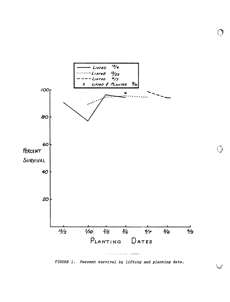

FIGURE 1. Percent survival by lifting and planting date.

 $\bigcirc$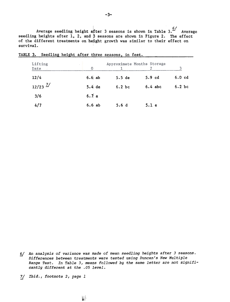Average seedling height a fter 3 seasons is shown in Table 3. $\frac{6}{ }$  Average seedling heights after 1, 2, and  $\beta$  seasons are shown in Figure 2. The effect of the different treatments on height growth was similar to their effect on survival.

| Lifting<br>Date       | $\Omega$ | Approximate Months Storage<br>3 |                   |                   |  |  |  |
|-----------------------|----------|---------------------------------|-------------------|-------------------|--|--|--|
| 12/4                  | 6.6ab    | 5.5 de                          | 5.9 <sub>cd</sub> | 6.0 <sub>cd</sub> |  |  |  |
| $12/23$ $\frac{7}{ }$ | 5.4de    | $6.2$ bc                        | $6.4$ abc         | $6.2$ bc          |  |  |  |
| 3/6                   | 6.7a     |                                 |                   |                   |  |  |  |
| 4/7                   | 6.6ab    | 5.6d                            | 5.1 e             |                   |  |  |  |

TABLE 3. Seedling height after three seasons, in feet.

- 6/ An analysis of variance was made of mean seedling heights after 3 season Differences between treatments were tested using Duncan's New Multiple Range Test. In Table 3, means followed by the same letter are not significantly different at the .05 level.
- 71 Ibid., footnote 2, page 1